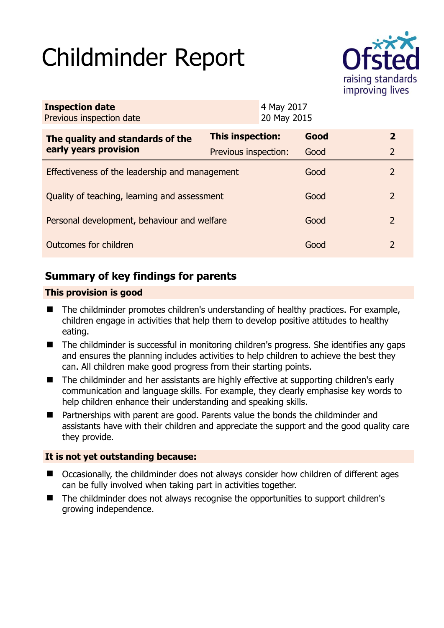# Childminder Report



| <b>Inspection date</b><br>Previous inspection date | 4 May 2017<br>20 May 2015 |  |      |               |
|----------------------------------------------------|---------------------------|--|------|---------------|
| The quality and standards of the                   | <b>This inspection:</b>   |  | Good | $\mathbf{2}$  |
| early years provision                              | Previous inspection:      |  | Good | 2             |
| Effectiveness of the leadership and management     |                           |  | Good | 2             |
| Quality of teaching, learning and assessment       |                           |  | Good | $\mathcal{L}$ |
| Personal development, behaviour and welfare        |                           |  | Good | 2             |
| Outcomes for children                              |                           |  | Good | 2             |

# **Summary of key findings for parents**

#### **This provision is good**

- The childminder promotes children's understanding of healthy practices. For example, children engage in activities that help them to develop positive attitudes to healthy eating.
- The childminder is successful in monitoring children's progress. She identifies any gaps and ensures the planning includes activities to help children to achieve the best they can. All children make good progress from their starting points.
- The childminder and her assistants are highly effective at supporting children's early communication and language skills. For example, they clearly emphasise key words to help children enhance their understanding and speaking skills.
- Partnerships with parent are good. Parents value the bonds the childminder and assistants have with their children and appreciate the support and the good quality care they provide.

#### **It is not yet outstanding because:**

- Occasionally, the childminder does not always consider how children of different ages can be fully involved when taking part in activities together.
- The childminder does not always recognise the opportunities to support children's growing independence.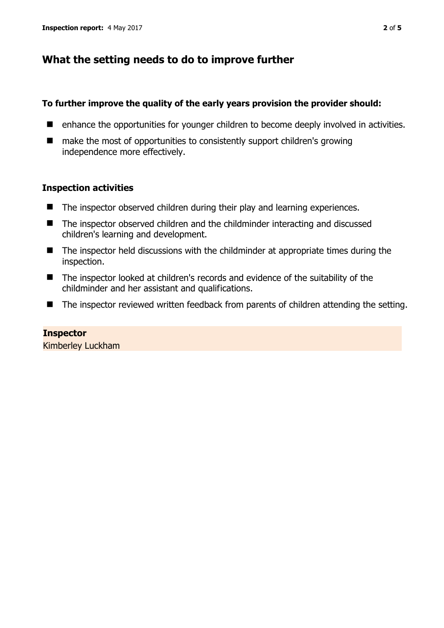## **What the setting needs to do to improve further**

#### **To further improve the quality of the early years provision the provider should:**

- enhance the opportunities for younger children to become deeply involved in activities.
- make the most of opportunities to consistently support children's growing independence more effectively.

#### **Inspection activities**

- The inspector observed children during their play and learning experiences.
- The inspector observed children and the childminder interacting and discussed children's learning and development.
- $\blacksquare$  The inspector held discussions with the childminder at appropriate times during the inspection.
- The inspector looked at children's records and evidence of the suitability of the childminder and her assistant and qualifications.
- The inspector reviewed written feedback from parents of children attending the setting.

#### **Inspector**  Kimberley Luckham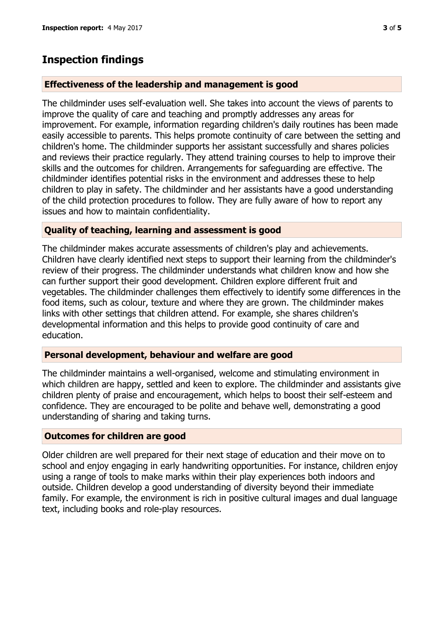## **Inspection findings**

#### **Effectiveness of the leadership and management is good**

The childminder uses self-evaluation well. She takes into account the views of parents to improve the quality of care and teaching and promptly addresses any areas for improvement. For example, information regarding children's daily routines has been made easily accessible to parents. This helps promote continuity of care between the setting and children's home. The childminder supports her assistant successfully and shares policies and reviews their practice regularly. They attend training courses to help to improve their skills and the outcomes for children. Arrangements for safeguarding are effective. The childminder identifies potential risks in the environment and addresses these to help children to play in safety. The childminder and her assistants have a good understanding of the child protection procedures to follow. They are fully aware of how to report any issues and how to maintain confidentiality.

#### **Quality of teaching, learning and assessment is good**

The childminder makes accurate assessments of children's play and achievements. Children have clearly identified next steps to support their learning from the childminder's review of their progress. The childminder understands what children know and how she can further support their good development. Children explore different fruit and vegetables. The childminder challenges them effectively to identify some differences in the food items, such as colour, texture and where they are grown. The childminder makes links with other settings that children attend. For example, she shares children's developmental information and this helps to provide good continuity of care and education.

#### **Personal development, behaviour and welfare are good**

The childminder maintains a well-organised, welcome and stimulating environment in which children are happy, settled and keen to explore. The childminder and assistants give children plenty of praise and encouragement, which helps to boost their self-esteem and confidence. They are encouraged to be polite and behave well, demonstrating a good understanding of sharing and taking turns.

#### **Outcomes for children are good**

Older children are well prepared for their next stage of education and their move on to school and enjoy engaging in early handwriting opportunities. For instance, children enjoy using a range of tools to make marks within their play experiences both indoors and outside. Children develop a good understanding of diversity beyond their immediate family. For example, the environment is rich in positive cultural images and dual language text, including books and role-play resources.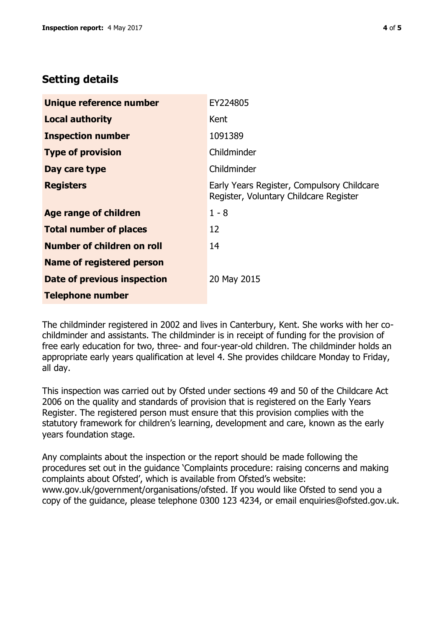## **Setting details**

| Unique reference number          | EY224805                                                                             |  |
|----------------------------------|--------------------------------------------------------------------------------------|--|
| <b>Local authority</b>           | Kent                                                                                 |  |
| <b>Inspection number</b>         | 1091389                                                                              |  |
| <b>Type of provision</b>         | Childminder                                                                          |  |
| Day care type                    | Childminder                                                                          |  |
| <b>Registers</b>                 | Early Years Register, Compulsory Childcare<br>Register, Voluntary Childcare Register |  |
| Age range of children            | $1 - 8$                                                                              |  |
| <b>Total number of places</b>    | 12                                                                                   |  |
| Number of children on roll       | 14                                                                                   |  |
| <b>Name of registered person</b> |                                                                                      |  |
| Date of previous inspection      | 20 May 2015                                                                          |  |
| <b>Telephone number</b>          |                                                                                      |  |

The childminder registered in 2002 and lives in Canterbury, Kent. She works with her cochildminder and assistants. The childminder is in receipt of funding for the provision of free early education for two, three- and four-year-old children. The childminder holds an appropriate early years qualification at level 4. She provides childcare Monday to Friday, all day.

This inspection was carried out by Ofsted under sections 49 and 50 of the Childcare Act 2006 on the quality and standards of provision that is registered on the Early Years Register. The registered person must ensure that this provision complies with the statutory framework for children's learning, development and care, known as the early years foundation stage.

Any complaints about the inspection or the report should be made following the procedures set out in the guidance 'Complaints procedure: raising concerns and making complaints about Ofsted', which is available from Ofsted's website: www.gov.uk/government/organisations/ofsted. If you would like Ofsted to send you a copy of the guidance, please telephone 0300 123 4234, or email enquiries@ofsted.gov.uk.